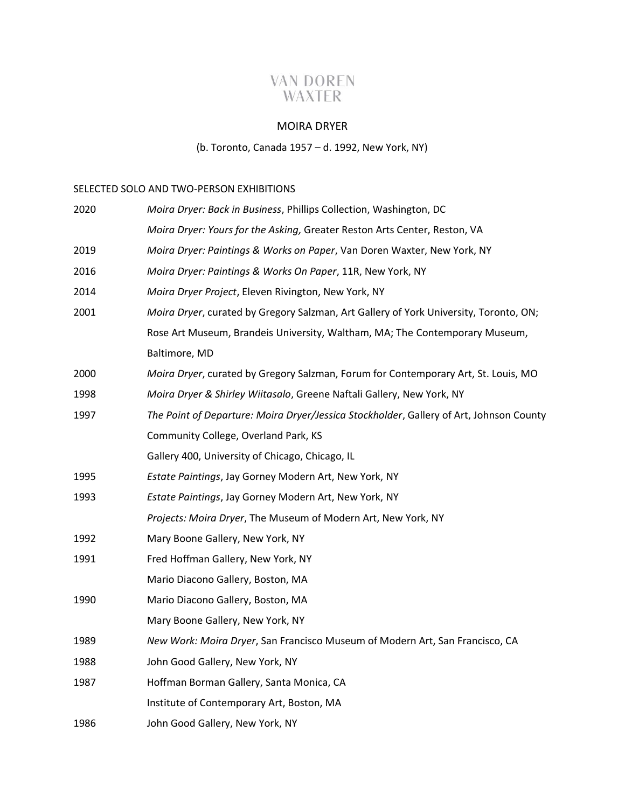# **VAN DOREN** WAXTER

### MOIRA DRYER

## (b. Toronto, Canada 1957 – d. 1992, New York, NY)

#### SELECTED SOLO AND TWO-PERSON EXHIBITIONS

| 2020 | Moira Dryer: Back in Business, Phillips Collection, Washington, DC                      |
|------|-----------------------------------------------------------------------------------------|
|      | Moira Dryer: Yours for the Asking, Greater Reston Arts Center, Reston, VA               |
| 2019 | Moira Dryer: Paintings & Works on Paper, Van Doren Waxter, New York, NY                 |
| 2016 | Moira Dryer: Paintings & Works On Paper, 11R, New York, NY                              |
| 2014 | Moira Dryer Project, Eleven Rivington, New York, NY                                     |
| 2001 | Moira Dryer, curated by Gregory Salzman, Art Gallery of York University, Toronto, ON;   |
|      | Rose Art Museum, Brandeis University, Waltham, MA; The Contemporary Museum,             |
|      | Baltimore, MD                                                                           |
| 2000 | Moira Dryer, curated by Gregory Salzman, Forum for Contemporary Art, St. Louis, MO      |
| 1998 | Moira Dryer & Shirley Wiitasalo, Greene Naftali Gallery, New York, NY                   |
| 1997 | The Point of Departure: Moira Dryer/Jessica Stockholder, Gallery of Art, Johnson County |
|      | Community College, Overland Park, KS                                                    |
|      | Gallery 400, University of Chicago, Chicago, IL                                         |
| 1995 | Estate Paintings, Jay Gorney Modern Art, New York, NY                                   |
| 1993 | Estate Paintings, Jay Gorney Modern Art, New York, NY                                   |
|      | Projects: Moira Dryer, The Museum of Modern Art, New York, NY                           |
| 1992 | Mary Boone Gallery, New York, NY                                                        |
| 1991 | Fred Hoffman Gallery, New York, NY                                                      |
|      | Mario Diacono Gallery, Boston, MA                                                       |
| 1990 | Mario Diacono Gallery, Boston, MA                                                       |
|      | Mary Boone Gallery, New York, NY                                                        |
| 1989 | New Work: Moira Dryer, San Francisco Museum of Modern Art, San Francisco, CA            |
| 1988 | John Good Gallery, New York, NY                                                         |
| 1987 | Hoffman Borman Gallery, Santa Monica, CA                                                |
|      | Institute of Contemporary Art, Boston, MA                                               |
| 1986 | John Good Gallery, New York, NY                                                         |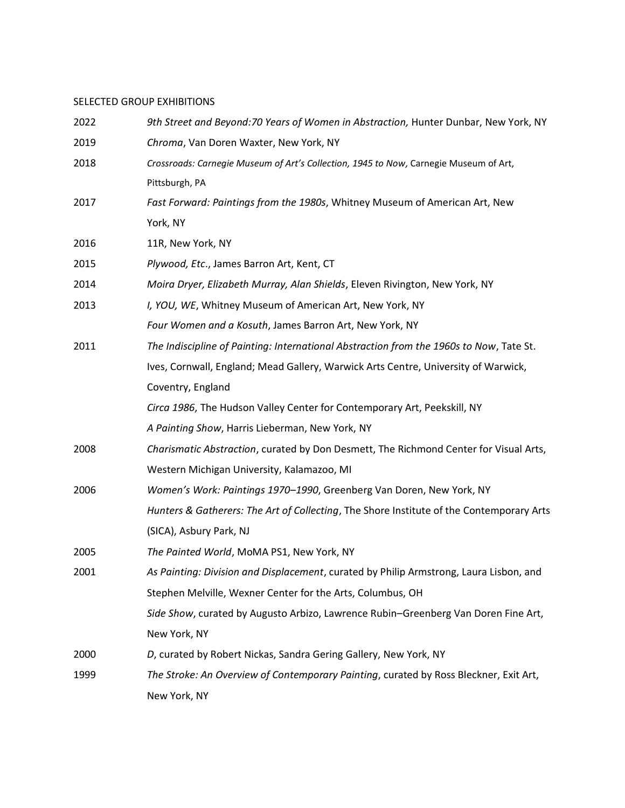#### SELECTED GROUP EXHIBITIONS

| 2022 | 9th Street and Beyond: 70 Years of Women in Abstraction, Hunter Dunbar, New York, NY     |
|------|------------------------------------------------------------------------------------------|
| 2019 | Chroma, Van Doren Waxter, New York, NY                                                   |
| 2018 | Crossroads: Carnegie Museum of Art's Collection, 1945 to Now, Carnegie Museum of Art,    |
|      | Pittsburgh, PA                                                                           |
| 2017 | Fast Forward: Paintings from the 1980s, Whitney Museum of American Art, New              |
|      | York, NY                                                                                 |
| 2016 | 11R, New York, NY                                                                        |
| 2015 | Plywood, Etc., James Barron Art, Kent, CT                                                |
| 2014 | Moira Dryer, Elizabeth Murray, Alan Shields, Eleven Rivington, New York, NY              |
| 2013 | I, YOU, WE, Whitney Museum of American Art, New York, NY                                 |
|      | Four Women and a Kosuth, James Barron Art, New York, NY                                  |
| 2011 | The Indiscipline of Painting: International Abstraction from the 1960s to Now, Tate St.  |
|      | Ives, Cornwall, England; Mead Gallery, Warwick Arts Centre, University of Warwick,       |
|      | Coventry, England                                                                        |
|      | Circa 1986, The Hudson Valley Center for Contemporary Art, Peekskill, NY                 |
|      | A Painting Show, Harris Lieberman, New York, NY                                          |
| 2008 | Charismatic Abstraction, curated by Don Desmett, The Richmond Center for Visual Arts,    |
|      | Western Michigan University, Kalamazoo, MI                                               |
| 2006 | Women's Work: Paintings 1970-1990, Greenberg Van Doren, New York, NY                     |
|      | Hunters & Gatherers: The Art of Collecting, The Shore Institute of the Contemporary Arts |
|      | (SICA), Asbury Park, NJ                                                                  |
| 2005 | The Painted World, MoMA PS1, New York, NY                                                |
| 2001 | As Painting: Division and Displacement, curated by Philip Armstrong, Laura Lisbon, and   |
|      | Stephen Melville, Wexner Center for the Arts, Columbus, OH                               |
|      | Side Show, curated by Augusto Arbizo, Lawrence Rubin-Greenberg Van Doren Fine Art,       |
|      | New York, NY                                                                             |
| 2000 | D, curated by Robert Nickas, Sandra Gering Gallery, New York, NY                         |
| 1999 | The Stroke: An Overview of Contemporary Painting, curated by Ross Bleckner, Exit Art,    |
|      | New York, NY                                                                             |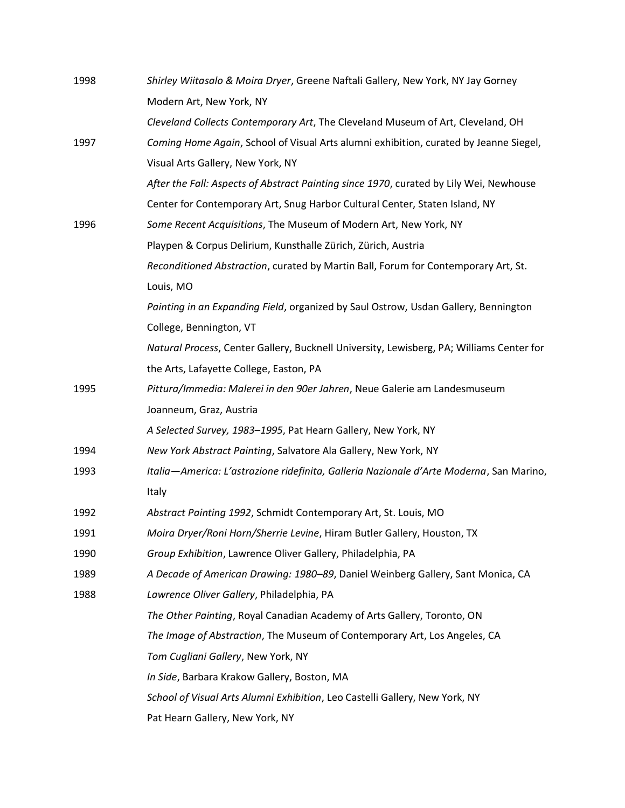| 1998 | Shirley Wiitasalo & Moira Dryer, Greene Naftali Gallery, New York, NY Jay Gorney         |
|------|------------------------------------------------------------------------------------------|
|      | Modern Art, New York, NY                                                                 |
|      | Cleveland Collects Contemporary Art, The Cleveland Museum of Art, Cleveland, OH          |
| 1997 | Coming Home Again, School of Visual Arts alumni exhibition, curated by Jeanne Siegel,    |
|      | Visual Arts Gallery, New York, NY                                                        |
|      | After the Fall: Aspects of Abstract Painting since 1970, curated by Lily Wei, Newhouse   |
|      | Center for Contemporary Art, Snug Harbor Cultural Center, Staten Island, NY              |
| 1996 | Some Recent Acquisitions, The Museum of Modern Art, New York, NY                         |
|      | Playpen & Corpus Delirium, Kunsthalle Zürich, Zürich, Austria                            |
|      | Reconditioned Abstraction, curated by Martin Ball, Forum for Contemporary Art, St.       |
|      | Louis, MO                                                                                |
|      | Painting in an Expanding Field, organized by Saul Ostrow, Usdan Gallery, Bennington      |
|      | College, Bennington, VT                                                                  |
|      | Natural Process, Center Gallery, Bucknell University, Lewisberg, PA; Williams Center for |
|      | the Arts, Lafayette College, Easton, PA                                                  |
| 1995 | Pittura/Immedia: Malerei in den 90er Jahren, Neue Galerie am Landesmuseum                |
|      | Joanneum, Graz, Austria                                                                  |
|      | A Selected Survey, 1983-1995, Pat Hearn Gallery, New York, NY                            |
| 1994 | New York Abstract Painting, Salvatore Ala Gallery, New York, NY                          |
| 1993 | Italia-America: L'astrazione ridefinita, Galleria Nazionale d'Arte Moderna, San Marino,  |
|      | Italy                                                                                    |
| 1992 | Abstract Painting 1992, Schmidt Contemporary Art, St. Louis, MO                          |
| 1991 | Moira Dryer/Roni Horn/Sherrie Levine, Hiram Butler Gallery, Houston, TX                  |
| 1990 | Group Exhibition, Lawrence Oliver Gallery, Philadelphia, PA                              |
| 1989 | A Decade of American Drawing: 1980-89, Daniel Weinberg Gallery, Sant Monica, CA          |
| 1988 | Lawrence Oliver Gallery, Philadelphia, PA                                                |
|      | The Other Painting, Royal Canadian Academy of Arts Gallery, Toronto, ON                  |
|      | The Image of Abstraction, The Museum of Contemporary Art, Los Angeles, CA                |
|      | Tom Cugliani Gallery, New York, NY                                                       |
|      | In Side, Barbara Krakow Gallery, Boston, MA                                              |
|      | School of Visual Arts Alumni Exhibition, Leo Castelli Gallery, New York, NY              |
|      | Pat Hearn Gallery, New York, NY                                                          |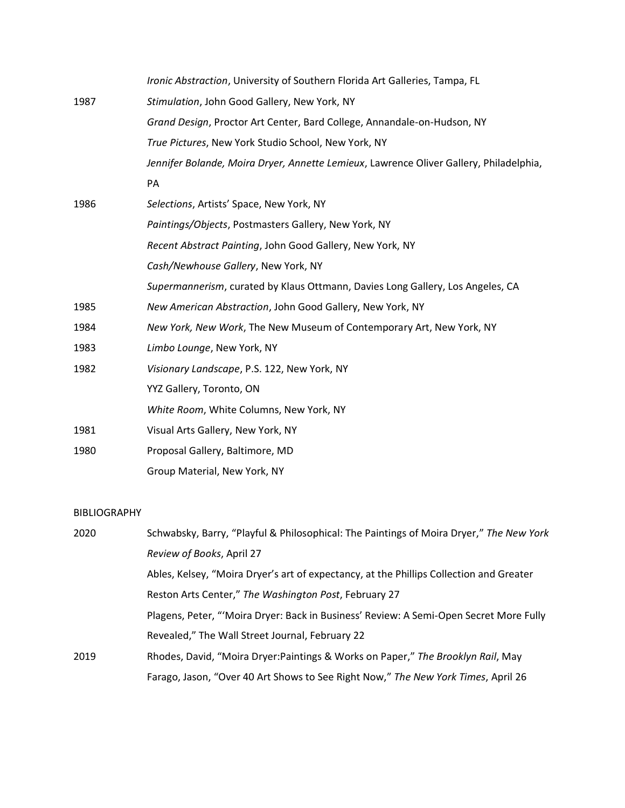|      | Ironic Abstraction, University of Southern Florida Art Galleries, Tampa, FL            |
|------|----------------------------------------------------------------------------------------|
| 1987 | Stimulation, John Good Gallery, New York, NY                                           |
|      | Grand Design, Proctor Art Center, Bard College, Annandale-on-Hudson, NY                |
|      | True Pictures, New York Studio School, New York, NY                                    |
|      | Jennifer Bolande, Moira Dryer, Annette Lemieux, Lawrence Oliver Gallery, Philadelphia, |
|      | PA                                                                                     |
| 1986 | Selections, Artists' Space, New York, NY                                               |
|      | Paintings/Objects, Postmasters Gallery, New York, NY                                   |
|      | Recent Abstract Painting, John Good Gallery, New York, NY                              |
|      | Cash/Newhouse Gallery, New York, NY                                                    |
|      | Supermannerism, curated by Klaus Ottmann, Davies Long Gallery, Los Angeles, CA         |
| 1985 | New American Abstraction, John Good Gallery, New York, NY                              |
| 1984 | New York, New Work, The New Museum of Contemporary Art, New York, NY                   |
| 1983 | Limbo Lounge, New York, NY                                                             |
| 1982 | Visionary Landscape, P.S. 122, New York, NY                                            |
|      | YYZ Gallery, Toronto, ON                                                               |
|      | White Room, White Columns, New York, NY                                                |
| 1981 | Visual Arts Gallery, New York, NY                                                      |
| 1980 | Proposal Gallery, Baltimore, MD                                                        |
|      | Group Material, New York, NY                                                           |
|      |                                                                                        |

#### BIBLIOGRAPHY

| 2020 | Schwabsky, Barry, "Playful & Philosophical: The Paintings of Moira Dryer," The New York |
|------|-----------------------------------------------------------------------------------------|
|      | Review of Books, April 27                                                               |
|      | Ables, Kelsey, "Moira Dryer's art of expectancy, at the Phillips Collection and Greater |
|      | Reston Arts Center," The Washington Post, February 27                                   |
|      | Plagens, Peter, "'Moira Dryer: Back in Business' Review: A Semi-Open Secret More Fully  |
|      | Revealed," The Wall Street Journal, February 22                                         |
| 2019 | Rhodes, David, "Moira Dryer:Paintings & Works on Paper," The Brooklyn Rail, May         |
|      | Farago, Jason, "Over 40 Art Shows to See Right Now," The New York Times, April 26       |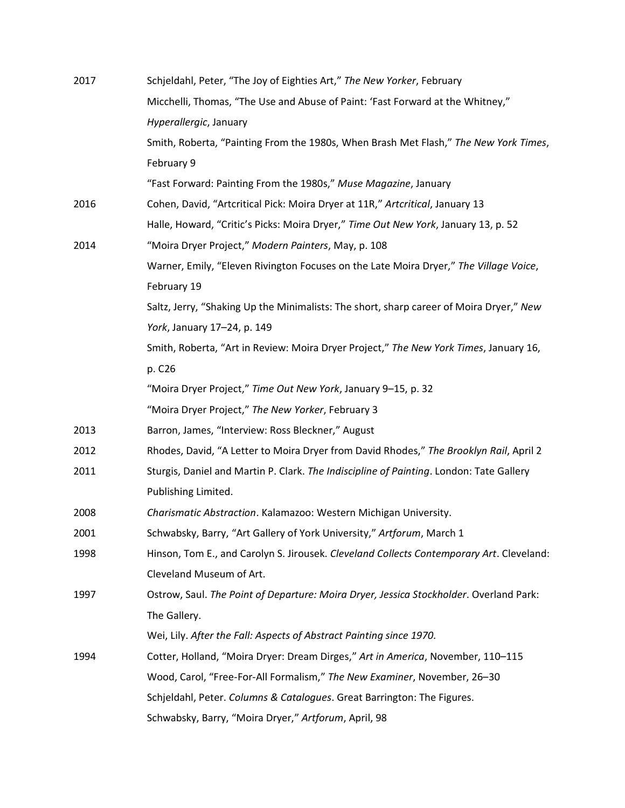| 2017 | Schjeldahl, Peter, "The Joy of Eighties Art," The New Yorker, February                   |
|------|------------------------------------------------------------------------------------------|
|      | Micchelli, Thomas, "The Use and Abuse of Paint: 'Fast Forward at the Whitney,"           |
|      | Hyperallergic, January                                                                   |
|      | Smith, Roberta, "Painting From the 1980s, When Brash Met Flash," The New York Times,     |
|      | February 9                                                                               |
|      | "Fast Forward: Painting From the 1980s," Muse Magazine, January                          |
| 2016 | Cohen, David, "Artcritical Pick: Moira Dryer at 11R," Artcritical, January 13            |
|      | Halle, Howard, "Critic's Picks: Moira Dryer," Time Out New York, January 13, p. 52       |
| 2014 | "Moira Dryer Project," Modern Painters, May, p. 108                                      |
|      | Warner, Emily, "Eleven Rivington Focuses on the Late Moira Dryer," The Village Voice,    |
|      | February 19                                                                              |
|      | Saltz, Jerry, "Shaking Up the Minimalists: The short, sharp career of Moira Dryer," New  |
|      | York, January 17-24, p. 149                                                              |
|      | Smith, Roberta, "Art in Review: Moira Dryer Project," The New York Times, January 16,    |
|      | p. C26                                                                                   |
|      | "Moira Dryer Project," Time Out New York, January 9-15, p. 32                            |
|      | "Moira Dryer Project," The New Yorker, February 3                                        |
| 2013 | Barron, James, "Interview: Ross Bleckner," August                                        |
| 2012 | Rhodes, David, "A Letter to Moira Dryer from David Rhodes," The Brooklyn Rail, April 2   |
| 2011 | Sturgis, Daniel and Martin P. Clark. The Indiscipline of Painting. London: Tate Gallery  |
|      | Publishing Limited.                                                                      |
| 2008 | Charismatic Abstraction. Kalamazoo: Western Michigan University.                         |
| 2001 | Schwabsky, Barry, "Art Gallery of York University," Artforum, March 1                    |
| 1998 | Hinson, Tom E., and Carolyn S. Jirousek. Cleveland Collects Contemporary Art. Cleveland: |
|      | Cleveland Museum of Art.                                                                 |
| 1997 | Ostrow, Saul. The Point of Departure: Moira Dryer, Jessica Stockholder. Overland Park:   |
|      | The Gallery.                                                                             |
|      | Wei, Lily. After the Fall: Aspects of Abstract Painting since 1970.                      |
| 1994 | Cotter, Holland, "Moira Dryer: Dream Dirges," Art in America, November, 110-115          |
|      | Wood, Carol, "Free-For-All Formalism," The New Examiner, November, 26-30                 |
|      | Schjeldahl, Peter. Columns & Catalogues. Great Barrington: The Figures.                  |
|      | Schwabsky, Barry, "Moira Dryer," Artforum, April, 98                                     |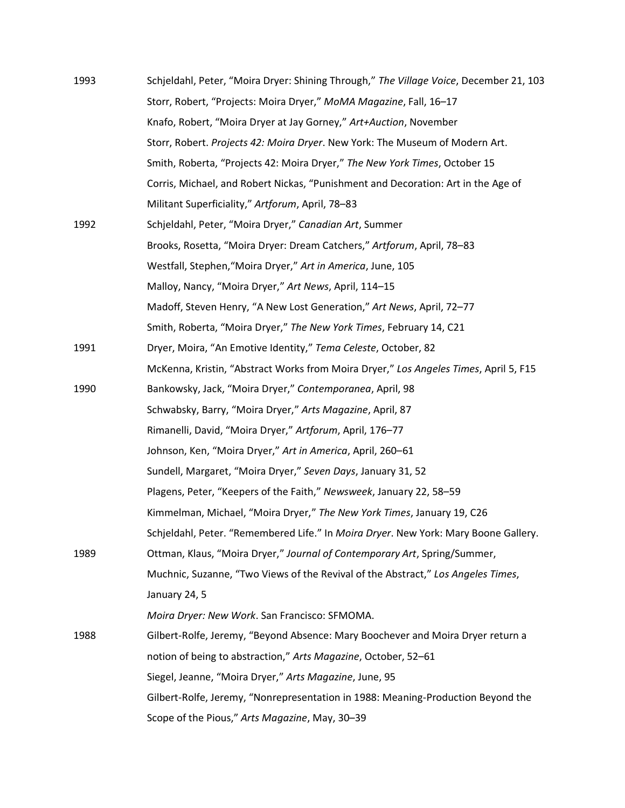| 1993 | Schjeldahl, Peter, "Moira Dryer: Shining Through," The Village Voice, December 21, 103 |
|------|----------------------------------------------------------------------------------------|
|      | Storr, Robert, "Projects: Moira Dryer," MoMA Magazine, Fall, 16-17                     |
|      | Knafo, Robert, "Moira Dryer at Jay Gorney," Art+Auction, November                      |
|      | Storr, Robert. Projects 42: Moira Dryer. New York: The Museum of Modern Art.           |
|      | Smith, Roberta, "Projects 42: Moira Dryer," The New York Times, October 15             |
|      | Corris, Michael, and Robert Nickas, "Punishment and Decoration: Art in the Age of      |
|      | Militant Superficiality," Artforum, April, 78-83                                       |
| 1992 | Schjeldahl, Peter, "Moira Dryer," Canadian Art, Summer                                 |
|      | Brooks, Rosetta, "Moira Dryer: Dream Catchers," Artforum, April, 78-83                 |
|      | Westfall, Stephen, "Moira Dryer," Art in America, June, 105                            |
|      | Malloy, Nancy, "Moira Dryer," Art News, April, 114-15                                  |
|      | Madoff, Steven Henry, "A New Lost Generation," Art News, April, 72-77                  |
|      | Smith, Roberta, "Moira Dryer," The New York Times, February 14, C21                    |
| 1991 | Dryer, Moira, "An Emotive Identity," Tema Celeste, October, 82                         |
|      | McKenna, Kristin, "Abstract Works from Moira Dryer," Los Angeles Times, April 5, F15   |
| 1990 | Bankowsky, Jack, "Moira Dryer," Contemporanea, April, 98                               |
|      | Schwabsky, Barry, "Moira Dryer," Arts Magazine, April, 87                              |
|      | Rimanelli, David, "Moira Dryer," Artforum, April, 176-77                               |
|      | Johnson, Ken, "Moira Dryer," Art in America, April, 260-61                             |
|      | Sundell, Margaret, "Moira Dryer," Seven Days, January 31, 52                           |
|      | Plagens, Peter, "Keepers of the Faith," Newsweek, January 22, 58-59                    |
|      | Kimmelman, Michael, "Moira Dryer," The New York Times, January 19, C26                 |
|      | Schjeldahl, Peter. "Remembered Life." In Moira Dryer. New York: Mary Boone Gallery.    |
| 1989 | Ottman, Klaus, "Moira Dryer," Journal of Contemporary Art, Spring/Summer,              |
|      | Muchnic, Suzanne, "Two Views of the Revival of the Abstract," Los Angeles Times,       |
|      | January 24, 5                                                                          |
|      | Moira Dryer: New Work. San Francisco: SFMOMA.                                          |
| 1988 | Gilbert-Rolfe, Jeremy, "Beyond Absence: Mary Boochever and Moira Dryer return a        |
|      | notion of being to abstraction," Arts Magazine, October, 52-61                         |
|      | Siegel, Jeanne, "Moira Dryer," Arts Magazine, June, 95                                 |
|      | Gilbert-Rolfe, Jeremy, "Nonrepresentation in 1988: Meaning-Production Beyond the       |
|      | Scope of the Pious," Arts Magazine, May, 30-39                                         |